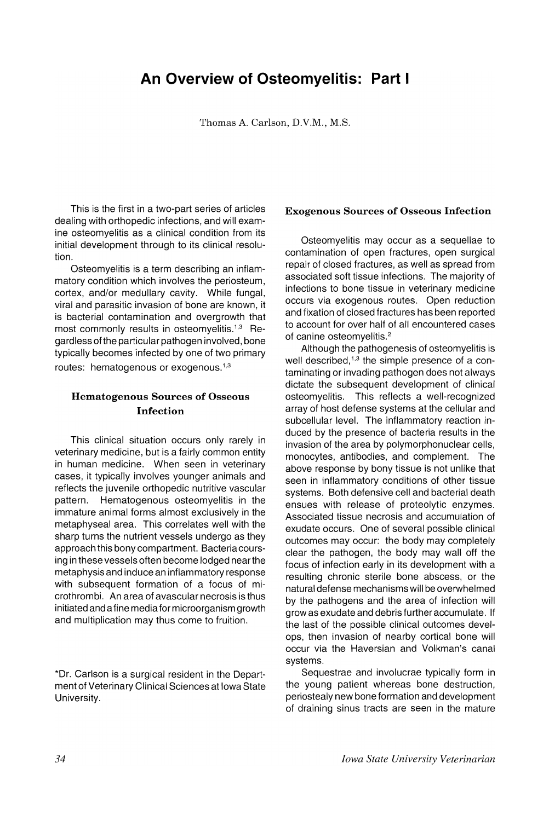## **An Overview of Osteomyelitis: Part I**

Thomas A. Carlson, D.V.M., M.S.

This is the first in a two-part series of articles dealing with orthopedic infections, and will examine osteomyelitis as a clinical condition from its initial development through to its clinical resolution.

Osteomyelitis is a term describing an inflammatory condition which involves the periosteum, cortex, and/or medullary cavity. While fungal, viral and parasitic invasion of bone are known, it is bacterial contamination and overgrowth that most commonly results in osteomyelitis.<sup>1,3</sup> Regardless of the particular pathogen involved, bone typically becomes infected by one of two primary routes: hematogenous or exogenous.<sup>1,3</sup>

## Hematogenous Sources of Osseous Infection

This clinical situation occurs only rarely in veterinary medicine, but is a fairly common entity in human medicine. When seen in veterinary cases, it typically involves younger animals and reflects the juvenile orthopedic nutritive vascular pattern. Hematogenous osteomyelitis in the immature animal forms almost exclusively in the metaphyseal area. This correlates well with the sharp turns the nutrient vessels undergo as they approach this bony compartment. Bacteria coursing in these vessels often become lodged nearthe metaphysis and induce an inflammatory response with subsequent formation of a focus of microthrombi. An area of avascular necrosis is thus initiated and a fine media for microorganism growth and multiplication may thus come to fruition.

\*Dr. Carlson is a surgical resident in the Department of Veterinary Clinical Sciences at Iowa State University.

## Exogenous Sources of Osseous Infection

Osteomyelitis may occur as a sequellae to contamination of open fractures, open surgical repair of closed fractures, as well as spread from associated soft tissue infections. The majority of infections to bone tissue in veterinary medicine occurs via exogenous routes. Open reduction and fixation of closed fractu res has been reported to account for over half of all encountered cases of canine osteomyelitis.<sup>2</sup>

Although the pathogenesis of osteomyelitis is well described, $1,3$  the simple presence of a contaminating or invading pathogen does not always dictate the subsequent development of clinical osteomyelitis. This reflects a well-recognized array of host defense systems at the cellular and subcellular level. The inflammatory reaction induced by the presence of bacteria results in the invasion of the area by polymorphonuclear cells, monocytes, antibodies, and complement. The above response by bony tissue is not unlike that seen in inflammatory conditions of other tissue systems. Both defensive cell and bacterial death ensues with release of proteolytic enzymes. Associated tissue necrosis and accumulation of exudate occurs. One of several possible clinical outcomes may occur: the body may completely clear the pathogen, the body may wall off the focus of infection early in its development with a resulting chronic sterile bone abscess, or the natural defense mechanisms will be overwhelmed by the pathogens and the area of infection will grow as exudate and debris further accumulate. If the last of the possible clinical outcomes develops, then invasion of nearby cortical bone will occur via the Haversian and Volkman's canal systems.

Sequestrae and involucrae typically form in the young patient whereas bone destruction, periostealy new bone formation and development of draining sinus tracts are seen in the mature